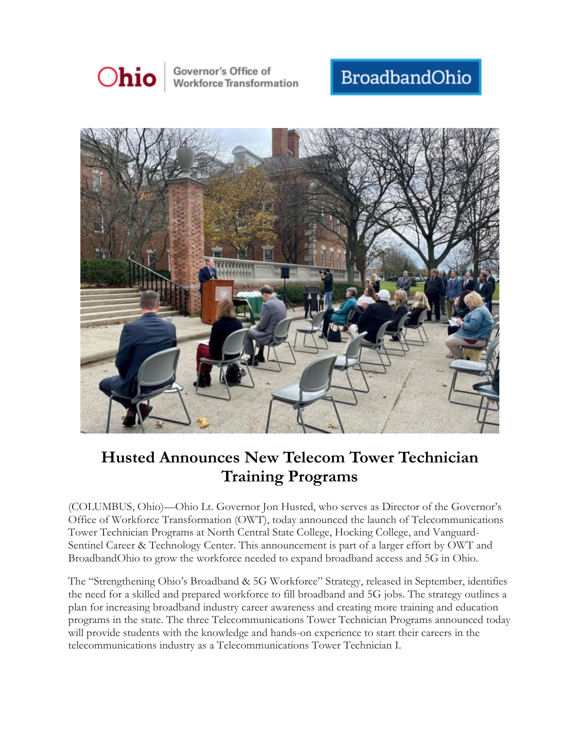

Governor's Office of **Workforce Transformation** 

## BroadbandOhio



## **Husted Announces New Telecom Tower Technician Training Programs**

(COLUMBUS, Ohio)—Ohio Lt. Governor Jon Husted, who serves as Director of the Governor's Office of Workforce Transformation (OWT), today announced the launch of Telecommunications Tower Technician Programs at North Central State College, Hocking College, and Vanguard-Sentinel Career & Technology Center. This announcement is part of a larger effort by OWT and BroadbandOhio to grow the workforce needed to expand broadband access and 5G in Ohio.

The "Strengthening Ohio's Broadband & 5G Workforce" Strategy, released in September, identifies the need for a skilled and prepared workforce to fill broadband and 5G jobs. The strategy outlines a plan for increasing broadband industry career awareness and creating more training and education programs in the state. The three Telecommunications Tower Technician Programs announced today will provide students with the knowledge and hands-on experience to start their careers in the telecommunications industry as a Telecommunications Tower Technician I.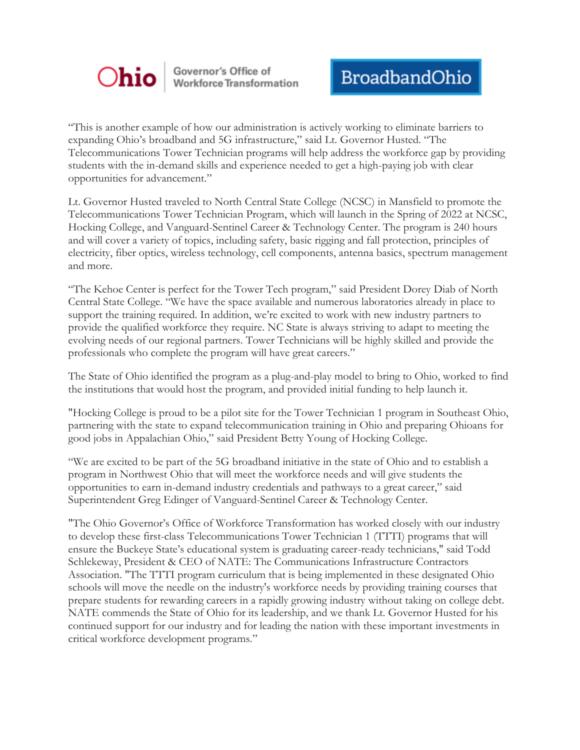

Governor's Office of<br>Workforce Transformation

"This is another example of how our administration is actively working to eliminate barriers to expanding Ohio's broadband and 5G infrastructure," said Lt. Governor Husted. "The Telecommunications Tower Technician programs will help address the workforce gap by providing students with the in-demand skills and experience needed to get a high-paying job with clear opportunities for advancement."

Lt. Governor Husted traveled to North Central State College (NCSC) in Mansfield to promote the Telecommunications Tower Technician Program, which will launch in the Spring of 2022 at NCSC, Hocking College, and Vanguard-Sentinel Career & Technology Center. The program is 240 hours and will cover a variety of topics, including safety, basic rigging and fall protection, principles of electricity, fiber optics, wireless technology, cell components, antenna basics, spectrum management and more.

"The Kehoe Center is perfect for the Tower Tech program," said President Dorey Diab of North Central State College. "We have the space available and numerous laboratories already in place to support the training required. In addition, we're excited to work with new industry partners to provide the qualified workforce they require. NC State is always striving to adapt to meeting the evolving needs of our regional partners. Tower Technicians will be highly skilled and provide the professionals who complete the program will have great careers."

The State of Ohio identified the program as a plug-and-play model to bring to Ohio, worked to find the institutions that would host the program, and provided initial funding to help launch it.

"Hocking College is proud to be a pilot site for the Tower Technician 1 program in Southeast Ohio, partnering with the state to expand telecommunication training in Ohio and preparing Ohioans for good jobs in Appalachian Ohio," said President Betty Young of Hocking College.

"We are excited to be part of the 5G broadband initiative in the state of Ohio and to establish a program in Northwest Ohio that will meet the workforce needs and will give students the opportunities to earn in-demand industry credentials and pathways to a great career," said Superintendent Greg Edinger of Vanguard-Sentinel Career & Technology Center.

"The Ohio Governor's Office of Workforce Transformation has worked closely with our industry to develop these first-class Telecommunications Tower Technician 1 (TTTI) programs that will ensure the Buckeye State's educational system is graduating career-ready technicians," said Todd Schlekeway, President & CEO of NATE: The Communications Infrastructure Contractors Association. "The TTTI program curriculum that is being implemented in these designated Ohio schools will move the needle on the industry's workforce needs by providing training courses that prepare students for rewarding careers in a rapidly growing industry without taking on college debt. NATE commends the State of Ohio for its leadership, and we thank Lt. Governor Husted for his continued support for our industry and for leading the nation with these important investments in critical workforce development programs."